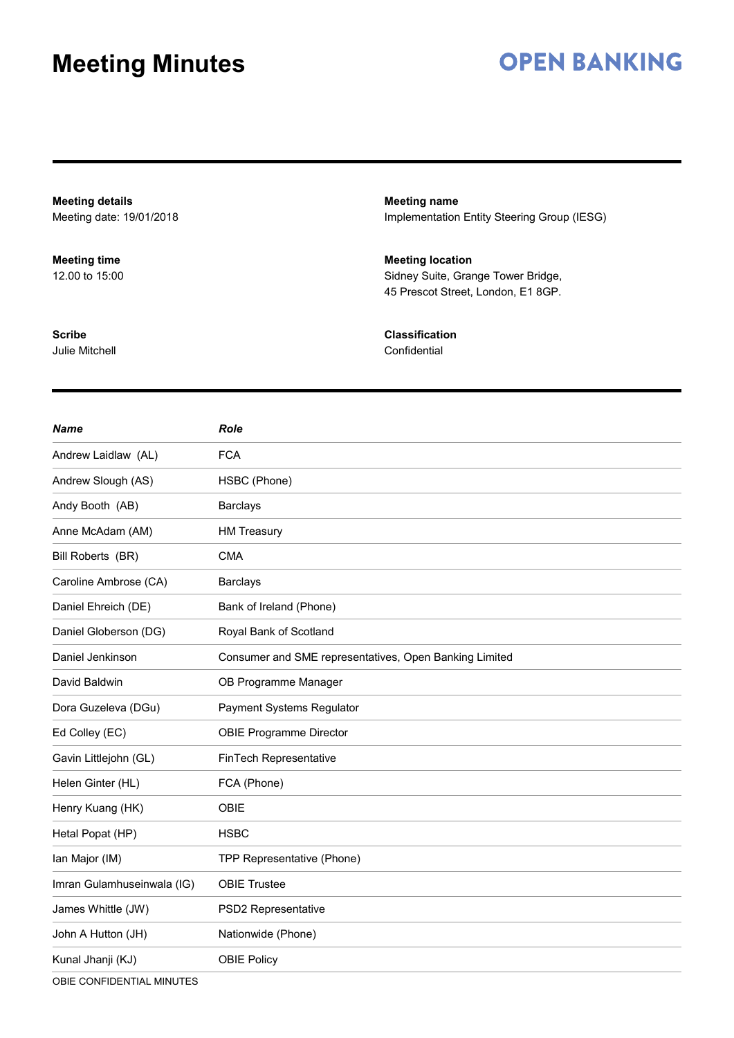# **OPEN BANKING**

**Meeting details** Meeting date: 19/01/2018 **Meeting name** Implementation Entity Steering Group (IESG) **Meeting time** 12.00 to 15:00 **Meeting location** Sidney Suite, Grange Tower Bridge, 45 Prescot Street, London, E1 8GP. **Scribe** Julie Mitchell **Classification Confidential** 

| <b>Name</b>                | <b>Role</b>                                            |
|----------------------------|--------------------------------------------------------|
| Andrew Laidlaw (AL)        | <b>FCA</b>                                             |
| Andrew Slough (AS)         | HSBC (Phone)                                           |
| Andy Booth (AB)            | <b>Barclays</b>                                        |
| Anne McAdam (AM)           | <b>HM Treasury</b>                                     |
| Bill Roberts (BR)          | <b>CMA</b>                                             |
| Caroline Ambrose (CA)      | <b>Barclays</b>                                        |
| Daniel Ehreich (DE)        | Bank of Ireland (Phone)                                |
| Daniel Globerson (DG)      | Royal Bank of Scotland                                 |
| Daniel Jenkinson           | Consumer and SME representatives, Open Banking Limited |
| David Baldwin              | OB Programme Manager                                   |
| Dora Guzeleva (DGu)        | Payment Systems Regulator                              |
| Ed Colley (EC)             | <b>OBIE Programme Director</b>                         |
| Gavin Littlejohn (GL)      | FinTech Representative                                 |
| Helen Ginter (HL)          | FCA (Phone)                                            |
| Henry Kuang (HK)           | OBIE                                                   |
| Hetal Popat (HP)           | <b>HSBC</b>                                            |
| Ian Major (IM)             | TPP Representative (Phone)                             |
| Imran Gulamhuseinwala (IG) | <b>OBIE Trustee</b>                                    |
| James Whittle (JW)         | PSD2 Representative                                    |
| John A Hutton (JH)         | Nationwide (Phone)                                     |
| Kunal Jhanji (KJ)          | <b>OBIE Policy</b>                                     |

OBIE CONFIDENTIAL MINUTES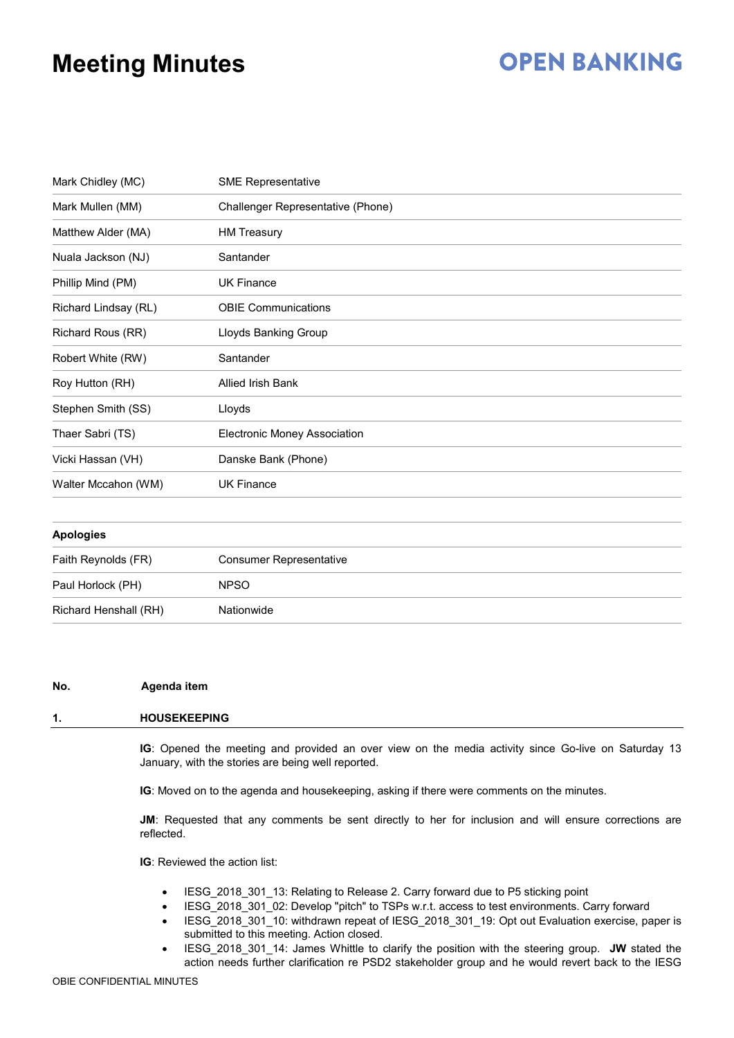# **OPEN BANKING**

| Mark Chidley (MC)    | <b>SME Representative</b>           |
|----------------------|-------------------------------------|
| Mark Mullen (MM)     | Challenger Representative (Phone)   |
| Matthew Alder (MA)   | <b>HM Treasury</b>                  |
| Nuala Jackson (NJ)   | Santander                           |
| Phillip Mind (PM)    | <b>UK Finance</b>                   |
| Richard Lindsay (RL) | <b>OBIE Communications</b>          |
| Richard Rous (RR)    | Lloyds Banking Group                |
| Robert White (RW)    | Santander                           |
| Roy Hutton (RH)      | Allied Irish Bank                   |
| Stephen Smith (SS)   | Lloyds                              |
| Thaer Sabri (TS)     | <b>Electronic Money Association</b> |
| Vicki Hassan (VH)    | Danske Bank (Phone)                 |
| Walter Mccahon (WM)  | <b>UK Finance</b>                   |
|                      |                                     |
|                      |                                     |

| <b>Apologies</b>      |                                |
|-----------------------|--------------------------------|
| Faith Reynolds (FR)   | <b>Consumer Representative</b> |
| Paul Horlock (PH)     | <b>NPSO</b>                    |
| Richard Henshall (RH) | Nationwide                     |

#### **No. Agenda item**

### **1. HOUSEKEEPING**

**IG**: Opened the meeting and provided an over view on the media activity since Go-live on Saturday 13 January, with the stories are being well reported.

**IG**: Moved on to the agenda and housekeeping, asking if there were comments on the minutes.

**JM**: Requested that any comments be sent directly to her for inclusion and will ensure corrections are reflected.

**IG**: Reviewed the action list:

- IESG 2018 301 13: Relating to Release 2. Carry forward due to P5 sticking point
- IESG\_2018\_301\_02: Develop "pitch" to TSPs w.r.t. access to test environments. Carry forward
- IESG\_2018\_301\_10: withdrawn repeat of IESG\_2018\_301\_19: Opt out Evaluation exercise, paper is submitted to this meeting. Action closed.
- IESG\_2018\_301\_14: James Whittle to clarify the position with the steering group. **JW** stated the action needs further clarification re PSD2 stakeholder group and he would revert back to the IESG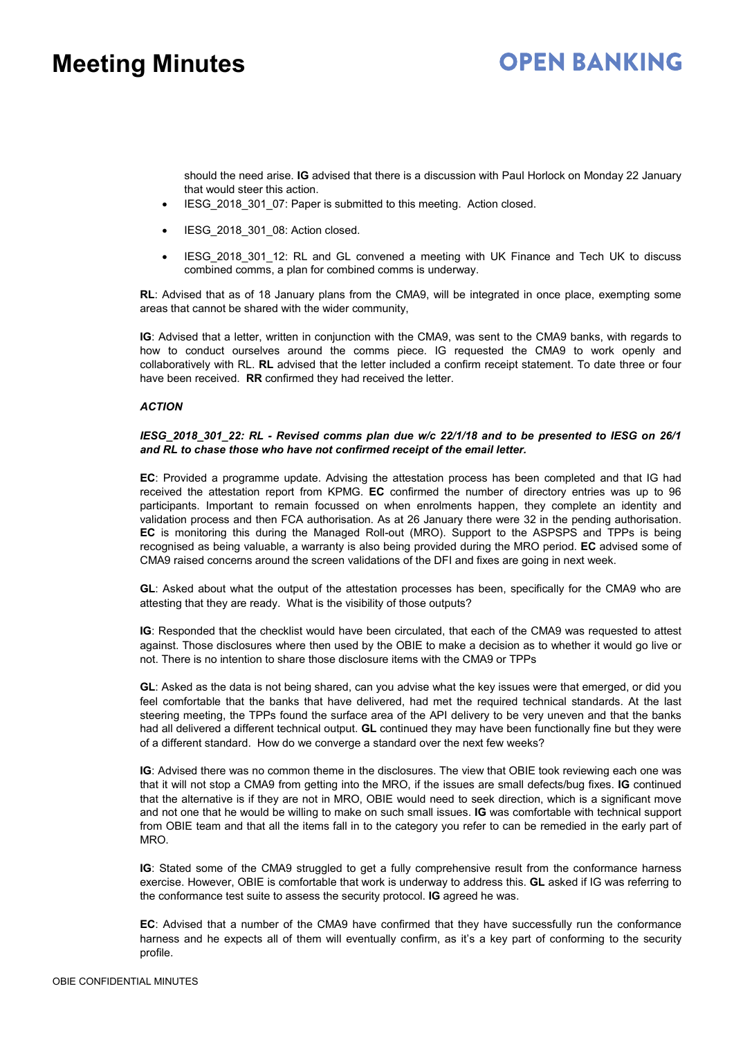## **OPEN BANKING**

should the need arise. **IG** advised that there is a discussion with Paul Horlock on Monday 22 January that would steer this action.

- IESG 2018 301 07: Paper is submitted to this meeting. Action closed.
- IESG\_2018\_301\_08: Action closed.
- IESG\_2018\_301\_12: RL and GL convened a meeting with UK Finance and Tech UK to discuss combined comms, a plan for combined comms is underway.

**RL**: Advised that as of 18 January plans from the CMA9, will be integrated in once place, exempting some areas that cannot be shared with the wider community,

**IG**: Advised that a letter, written in conjunction with the CMA9, was sent to the CMA9 banks, with regards to how to conduct ourselves around the comms piece. IG requested the CMA9 to work openly and collaboratively with RL. **RL** advised that the letter included a confirm receipt statement. To date three or four have been received. **RR** confirmed they had received the letter.

### *ACTION*

### *IESG\_2018\_301\_22: RL - Revised comms plan due w/c 22/1/18 and to be presented to IESG on 26/1 and RL to chase those who have not confirmed receipt of the email letter.*

**EC**: Provided a programme update. Advising the attestation process has been completed and that IG had received the attestation report from KPMG. **EC** confirmed the number of directory entries was up to 96 participants. Important to remain focussed on when enrolments happen, they complete an identity and validation process and then FCA authorisation. As at 26 January there were 32 in the pending authorisation. **EC** is monitoring this during the Managed Roll-out (MRO). Support to the ASPSPS and TPPs is being recognised as being valuable, a warranty is also being provided during the MRO period. **EC** advised some of CMA9 raised concerns around the screen validations of the DFI and fixes are going in next week.

**GL**: Asked about what the output of the attestation processes has been, specifically for the CMA9 who are attesting that they are ready. What is the visibility of those outputs?

**IG**: Responded that the checklist would have been circulated, that each of the CMA9 was requested to attest against. Those disclosures where then used by the OBIE to make a decision as to whether it would go live or not. There is no intention to share those disclosure items with the CMA9 or TPPs

**GL**: Asked as the data is not being shared, can you advise what the key issues were that emerged, or did you feel comfortable that the banks that have delivered, had met the required technical standards. At the last steering meeting, the TPPs found the surface area of the API delivery to be very uneven and that the banks had all delivered a different technical output. **GL** continued they may have been functionally fine but they were of a different standard. How do we converge a standard over the next few weeks?

**IG**: Advised there was no common theme in the disclosures. The view that OBIE took reviewing each one was that it will not stop a CMA9 from getting into the MRO, if the issues are small defects/bug fixes. **IG** continued that the alternative is if they are not in MRO, OBIE would need to seek direction, which is a significant move and not one that he would be willing to make on such small issues. **IG** was comfortable with technical support from OBIE team and that all the items fall in to the category you refer to can be remedied in the early part of MRO.

**IG**: Stated some of the CMA9 struggled to get a fully comprehensive result from the conformance harness exercise. However, OBIE is comfortable that work is underway to address this. **GL** asked if IG was referring to the conformance test suite to assess the security protocol. **IG** agreed he was.

**EC**: Advised that a number of the CMA9 have confirmed that they have successfully run the conformance harness and he expects all of them will eventually confirm, as it's a key part of conforming to the security profile.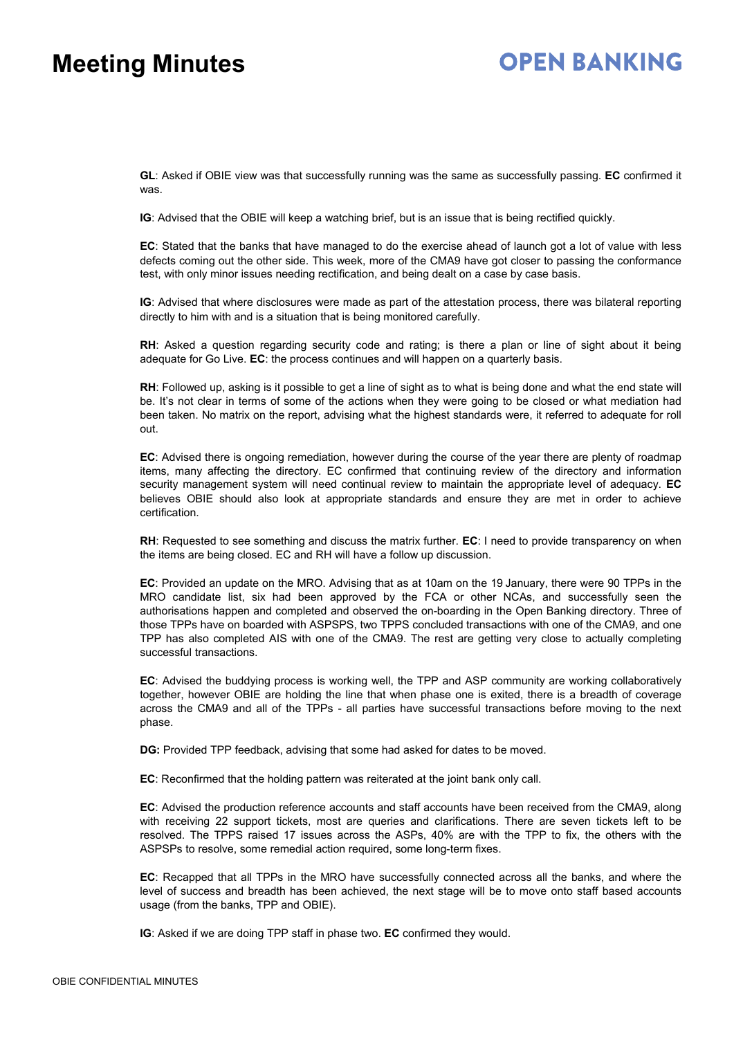# **OPEN BANKING**

**GL**: Asked if OBIE view was that successfully running was the same as successfully passing. **EC** confirmed it was.

**IG**: Advised that the OBIE will keep a watching brief, but is an issue that is being rectified quickly.

**EC**: Stated that the banks that have managed to do the exercise ahead of launch got a lot of value with less defects coming out the other side. This week, more of the CMA9 have got closer to passing the conformance test, with only minor issues needing rectification, and being dealt on a case by case basis.

**IG**: Advised that where disclosures were made as part of the attestation process, there was bilateral reporting directly to him with and is a situation that is being monitored carefully.

**RH**: Asked a question regarding security code and rating; is there a plan or line of sight about it being adequate for Go Live. **EC**: the process continues and will happen on a quarterly basis.

**RH**: Followed up, asking is it possible to get a line of sight as to what is being done and what the end state will be. It's not clear in terms of some of the actions when they were going to be closed or what mediation had been taken. No matrix on the report, advising what the highest standards were, it referred to adequate for roll out.

**EC**: Advised there is ongoing remediation, however during the course of the year there are plenty of roadmap items, many affecting the directory. EC confirmed that continuing review of the directory and information security management system will need continual review to maintain the appropriate level of adequacy. **EC** believes OBIE should also look at appropriate standards and ensure they are met in order to achieve certification.

**RH**: Requested to see something and discuss the matrix further. **EC**: I need to provide transparency on when the items are being closed. EC and RH will have a follow up discussion.

**EC**: Provided an update on the MRO. Advising that as at 10am on the 19 January, there were 90 TPPs in the MRO candidate list, six had been approved by the FCA or other NCAs, and successfully seen the authorisations happen and completed and observed the on-boarding in the Open Banking directory. Three of those TPPs have on boarded with ASPSPS, two TPPS concluded transactions with one of the CMA9, and one TPP has also completed AIS with one of the CMA9. The rest are getting very close to actually completing successful transactions.

**EC**: Advised the buddying process is working well, the TPP and ASP community are working collaboratively together, however OBIE are holding the line that when phase one is exited, there is a breadth of coverage across the CMA9 and all of the TPPs - all parties have successful transactions before moving to the next phase.

**DG:** Provided TPP feedback, advising that some had asked for dates to be moved.

**EC**: Reconfirmed that the holding pattern was reiterated at the joint bank only call.

**EC**: Advised the production reference accounts and staff accounts have been received from the CMA9, along with receiving 22 support tickets, most are queries and clarifications. There are seven tickets left to be resolved. The TPPS raised 17 issues across the ASPs, 40% are with the TPP to fix, the others with the ASPSPs to resolve, some remedial action required, some long-term fixes.

**EC**: Recapped that all TPPs in the MRO have successfully connected across all the banks, and where the level of success and breadth has been achieved, the next stage will be to move onto staff based accounts usage (from the banks, TPP and OBIE).

**IG**: Asked if we are doing TPP staff in phase two. **EC** confirmed they would.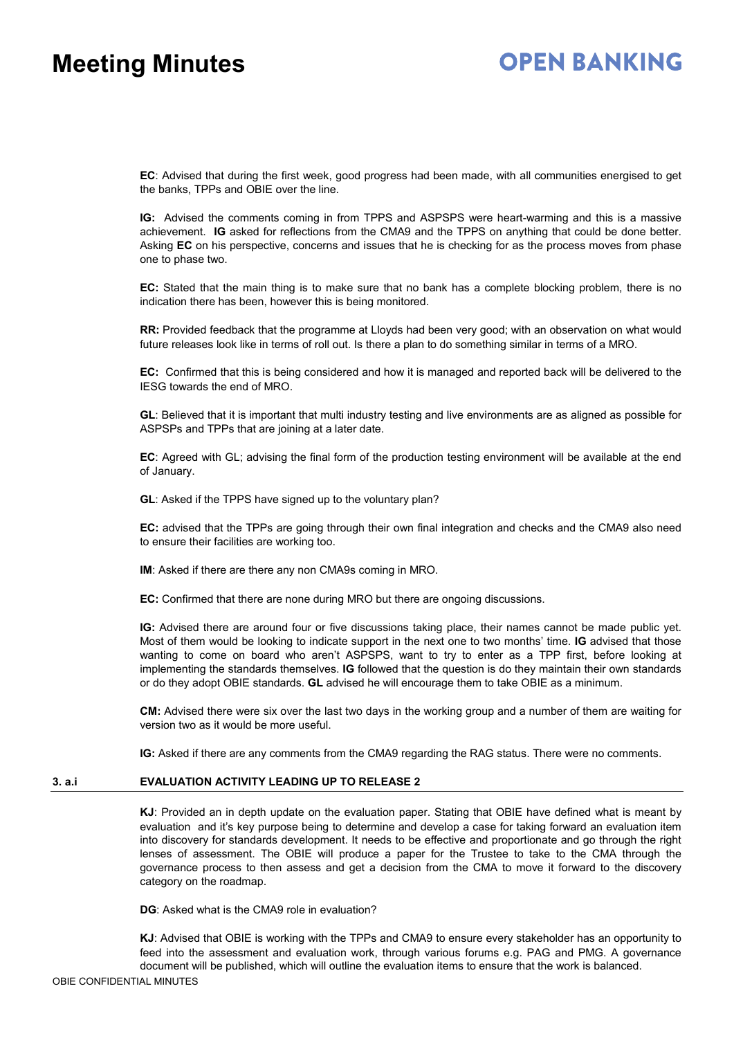# **OPEN BANKING**

**EC**: Advised that during the first week, good progress had been made, with all communities energised to get the banks, TPPs and OBIE over the line.

**IG:** Advised the comments coming in from TPPS and ASPSPS were heart-warming and this is a massive achievement. **IG** asked for reflections from the CMA9 and the TPPS on anything that could be done better. Asking **EC** on his perspective, concerns and issues that he is checking for as the process moves from phase one to phase two.

**EC:** Stated that the main thing is to make sure that no bank has a complete blocking problem, there is no indication there has been, however this is being monitored.

**RR:** Provided feedback that the programme at Lloyds had been very good; with an observation on what would future releases look like in terms of roll out. Is there a plan to do something similar in terms of a MRO.

**EC:** Confirmed that this is being considered and how it is managed and reported back will be delivered to the IESG towards the end of MRO.

**GL**: Believed that it is important that multi industry testing and live environments are as aligned as possible for ASPSPs and TPPs that are joining at a later date.

**EC**: Agreed with GL; advising the final form of the production testing environment will be available at the end of January.

**GL**: Asked if the TPPS have signed up to the voluntary plan?

**EC:** advised that the TPPs are going through their own final integration and checks and the CMA9 also need to ensure their facilities are working too.

**IM**: Asked if there are there any non CMA9s coming in MRO.

**EC:** Confirmed that there are none during MRO but there are ongoing discussions.

**IG:** Advised there are around four or five discussions taking place, their names cannot be made public yet. Most of them would be looking to indicate support in the next one to two months' time. **IG** advised that those wanting to come on board who aren't ASPSPS, want to try to enter as a TPP first, before looking at implementing the standards themselves. **IG** followed that the question is do they maintain their own standards or do they adopt OBIE standards. **GL** advised he will encourage them to take OBIE as a minimum.

**CM:** Advised there were six over the last two days in the working group and a number of them are waiting for version two as it would be more useful.

**IG:** Asked if there are any comments from the CMA9 regarding the RAG status. There were no comments.

### **3. a.i EVALUATION ACTIVITY LEADING UP TO RELEASE 2**

**KJ**: Provided an in depth update on the evaluation paper. Stating that OBIE have defined what is meant by evaluation and it's key purpose being to determine and develop a case for taking forward an evaluation item into discovery for standards development. It needs to be effective and proportionate and go through the right lenses of assessment. The OBIE will produce a paper for the Trustee to take to the CMA through the governance process to then assess and get a decision from the CMA to move it forward to the discovery category on the roadmap.

**DG**: Asked what is the CMA9 role in evaluation?

**KJ**: Advised that OBIE is working with the TPPs and CMA9 to ensure every stakeholder has an opportunity to feed into the assessment and evaluation work, through various forums e.g. PAG and PMG. A governance document will be published, which will outline the evaluation items to ensure that the work is balanced.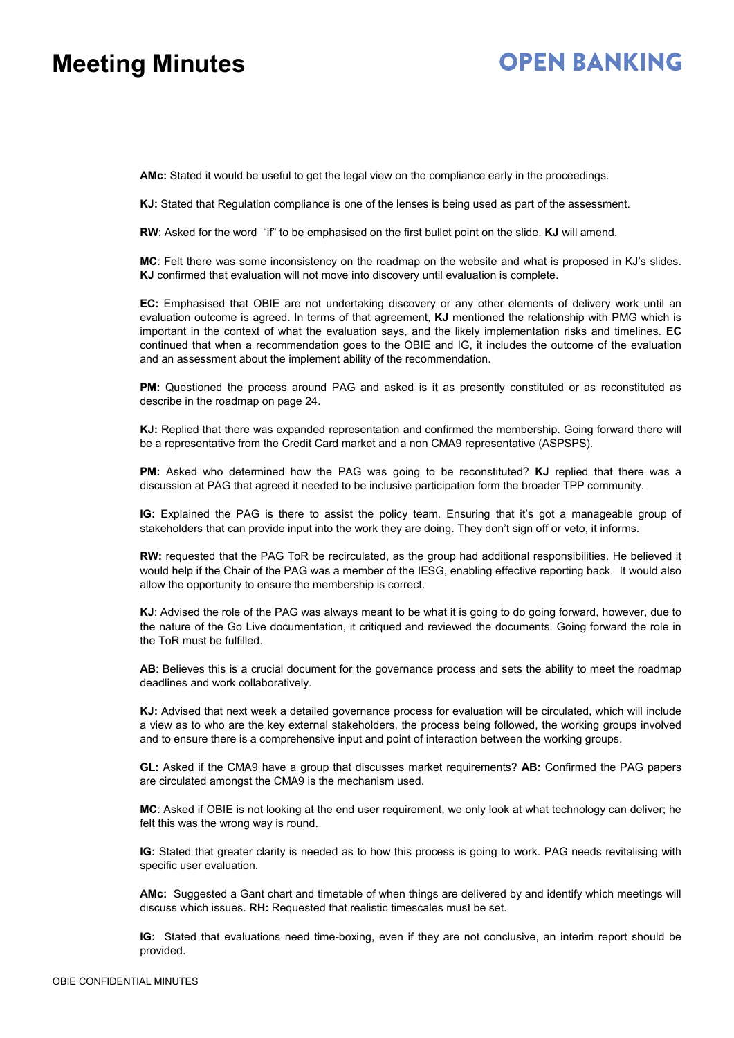## **OPEN BANKING**

**AMc:** Stated it would be useful to get the legal view on the compliance early in the proceedings.

**KJ:** Stated that Regulation compliance is one of the lenses is being used as part of the assessment.

**RW**: Asked for the word "if" to be emphasised on the first bullet point on the slide. **KJ** will amend.

**MC**: Felt there was some inconsistency on the roadmap on the website and what is proposed in KJ's slides. **KJ** confirmed that evaluation will not move into discovery until evaluation is complete.

**EC:** Emphasised that OBIE are not undertaking discovery or any other elements of delivery work until an evaluation outcome is agreed. In terms of that agreement, **KJ** mentioned the relationship with PMG which is important in the context of what the evaluation says, and the likely implementation risks and timelines. **EC** continued that when a recommendation goes to the OBIE and IG, it includes the outcome of the evaluation and an assessment about the implement ability of the recommendation.

**PM:** Questioned the process around PAG and asked is it as presently constituted or as reconstituted as describe in the roadmap on page 24.

**KJ:** Replied that there was expanded representation and confirmed the membership. Going forward there will be a representative from the Credit Card market and a non CMA9 representative (ASPSPS).

**PM:** Asked who determined how the PAG was going to be reconstituted? **KJ** replied that there was a discussion at PAG that agreed it needed to be inclusive participation form the broader TPP community.

**IG:** Explained the PAG is there to assist the policy team. Ensuring that it's got a manageable group of stakeholders that can provide input into the work they are doing. They don't sign off or veto, it informs.

**RW:** requested that the PAG ToR be recirculated, as the group had additional responsibilities. He believed it would help if the Chair of the PAG was a member of the IESG, enabling effective reporting back. It would also allow the opportunity to ensure the membership is correct.

**KJ**: Advised the role of the PAG was always meant to be what it is going to do going forward, however, due to the nature of the Go Live documentation, it critiqued and reviewed the documents. Going forward the role in the ToR must be fulfilled.

**AB**: Believes this is a crucial document for the governance process and sets the ability to meet the roadmap deadlines and work collaboratively.

**KJ:** Advised that next week a detailed governance process for evaluation will be circulated, which will include a view as to who are the key external stakeholders, the process being followed, the working groups involved and to ensure there is a comprehensive input and point of interaction between the working groups.

**GL:** Asked if the CMA9 have a group that discusses market requirements? **AB:** Confirmed the PAG papers are circulated amongst the CMA9 is the mechanism used.

**MC**: Asked if OBIE is not looking at the end user requirement, we only look at what technology can deliver; he felt this was the wrong way is round.

**IG:** Stated that greater clarity is needed as to how this process is going to work. PAG needs revitalising with specific user evaluation.

**AMc:** Suggested a Gant chart and timetable of when things are delivered by and identify which meetings will discuss which issues. **RH:** Requested that realistic timescales must be set.

**IG:** Stated that evaluations need time-boxing, even if they are not conclusive, an interim report should be provided.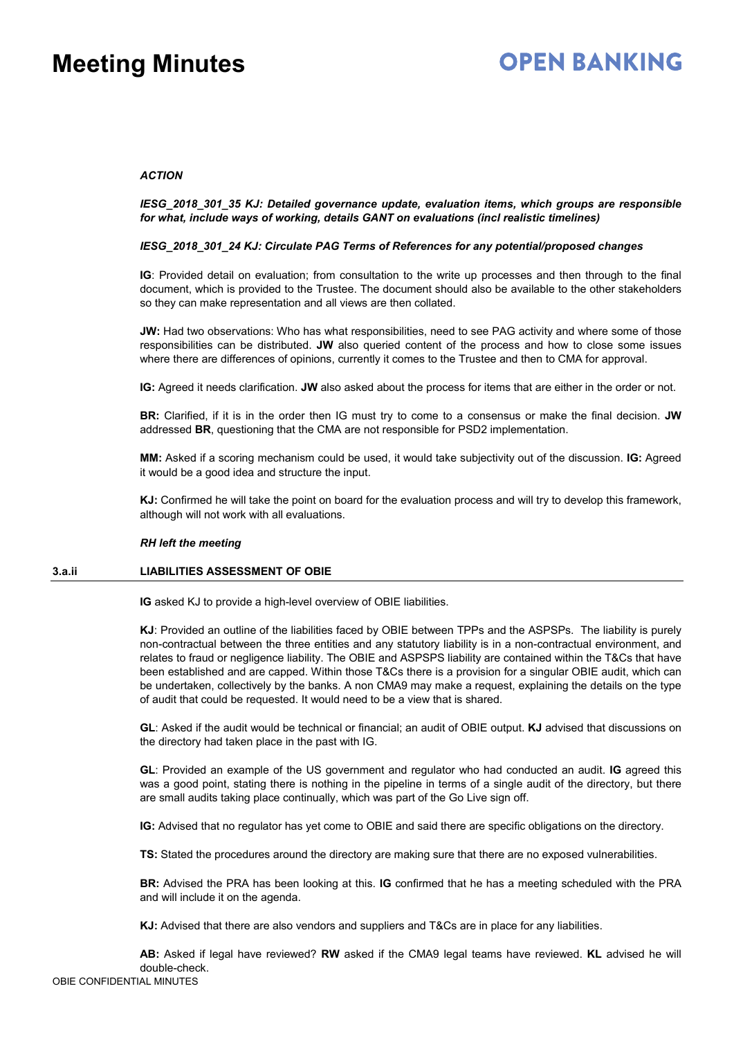# **OPEN BANKING**

### *ACTION*

*IESG\_2018\_301\_35 KJ: Detailed governance update, evaluation items, which groups are responsible for what, include ways of working, details GANT on evaluations (incl realistic timelines)*

### *IESG\_2018\_301\_24 KJ: Circulate PAG Terms of References for any potential/proposed changes*

**IG**: Provided detail on evaluation; from consultation to the write up processes and then through to the final document, which is provided to the Trustee. The document should also be available to the other stakeholders so they can make representation and all views are then collated.

**JW:** Had two observations: Who has what responsibilities, need to see PAG activity and where some of those responsibilities can be distributed. **JW** also queried content of the process and how to close some issues where there are differences of opinions, currently it comes to the Trustee and then to CMA for approval.

**IG:** Agreed it needs clarification. **JW** also asked about the process for items that are either in the order or not.

**BR:** Clarified, if it is in the order then IG must try to come to a consensus or make the final decision. **JW** addressed **BR**, questioning that the CMA are not responsible for PSD2 implementation.

**MM:** Asked if a scoring mechanism could be used, it would take subjectivity out of the discussion. **IG:** Agreed it would be a good idea and structure the input.

**KJ:** Confirmed he will take the point on board for the evaluation process and will try to develop this framework, although will not work with all evaluations.

### *RH left the meeting*

### **3.a.ii LIABILITIES ASSESSMENT OF OBIE**

**IG** asked KJ to provide a high-level overview of OBIE liabilities.

**KJ**: Provided an outline of the liabilities faced by OBIE between TPPs and the ASPSPs. The liability is purely non-contractual between the three entities and any statutory liability is in a non-contractual environment, and relates to fraud or negligence liability. The OBIE and ASPSPS liability are contained within the T&Cs that have been established and are capped. Within those T&Cs there is a provision for a singular OBIE audit, which can be undertaken, collectively by the banks. A non CMA9 may make a request, explaining the details on the type of audit that could be requested. It would need to be a view that is shared.

**GL**: Asked if the audit would be technical or financial; an audit of OBIE output. **KJ** advised that discussions on the directory had taken place in the past with IG.

**GL**: Provided an example of the US government and regulator who had conducted an audit. **IG** agreed this was a good point, stating there is nothing in the pipeline in terms of a single audit of the directory, but there are small audits taking place continually, which was part of the Go Live sign off.

**IG:** Advised that no regulator has yet come to OBIE and said there are specific obligations on the directory.

**TS:** Stated the procedures around the directory are making sure that there are no exposed vulnerabilities.

**BR:** Advised the PRA has been looking at this. **IG** confirmed that he has a meeting scheduled with the PRA and will include it on the agenda.

**KJ:** Advised that there are also vendors and suppliers and T&Cs are in place for any liabilities.

**AB:** Asked if legal have reviewed? **RW** asked if the CMA9 legal teams have reviewed. **KL** advised he will double-check.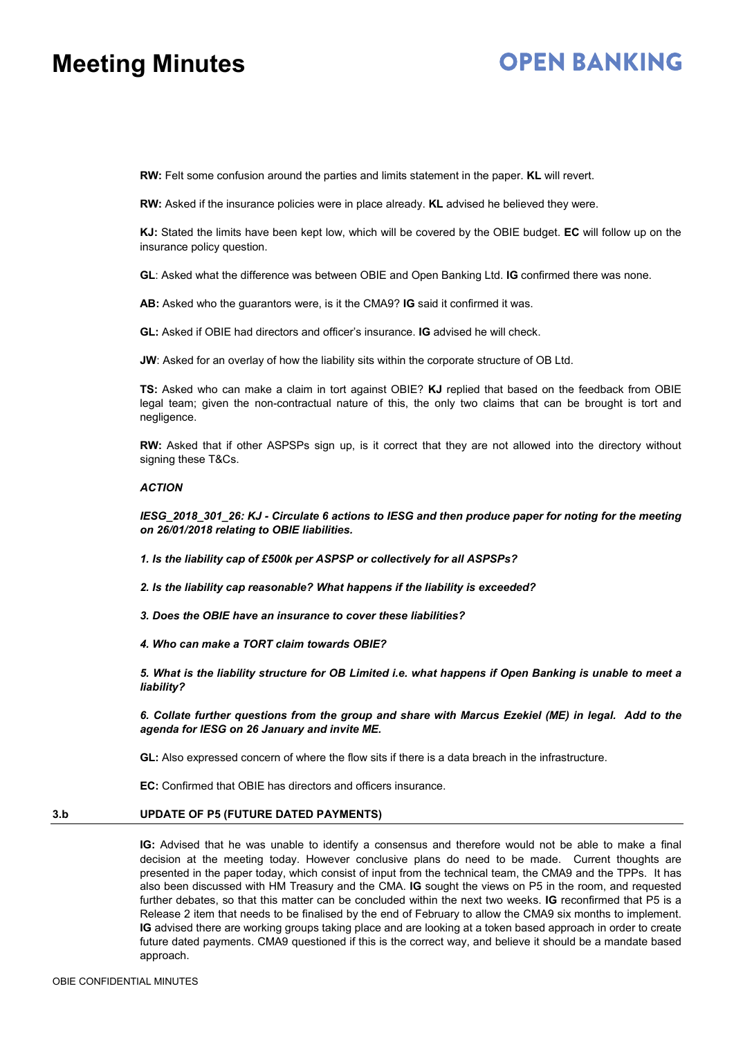# **OPEN BANKING**

**RW:** Felt some confusion around the parties and limits statement in the paper. **KL** will revert.

**RW:** Asked if the insurance policies were in place already. **KL** advised he believed they were.

**KJ:** Stated the limits have been kept low, which will be covered by the OBIE budget. **EC** will follow up on the insurance policy question.

**GL**: Asked what the difference was between OBIE and Open Banking Ltd. **IG** confirmed there was none.

**AB:** Asked who the guarantors were, is it the CMA9? **IG** said it confirmed it was.

**GL:** Asked if OBIE had directors and officer's insurance. **IG** advised he will check.

**JW:** Asked for an overlay of how the liability sits within the corporate structure of OB Ltd.

**TS:** Asked who can make a claim in tort against OBIE? **KJ** replied that based on the feedback from OBIE legal team; given the non-contractual nature of this, the only two claims that can be brought is tort and negligence.

**RW:** Asked that if other ASPSPs sign up, is it correct that they are not allowed into the directory without signing these T&Cs.

### *ACTION*

*IESG\_2018\_301\_26: KJ - Circulate 6 actions to IESG and then produce paper for noting for the meeting on 26/01/2018 relating to OBIE liabilities.*

*1. Is the liability cap of £500k per ASPSP or collectively for all ASPSPs?*

*2. Is the liability cap reasonable? What happens if the liability is exceeded?*

*3. Does the OBIE have an insurance to cover these liabilities?*

*4. Who can make a TORT claim towards OBIE?*

5. What is the liability structure for OB Limited i.e. what happens if Open Banking is unable to meet a *liability?*

6. Collate further questions from the group and share with Marcus Ezekiel (ME) in legal. Add to the *agenda for IESG on 26 January and invite ME.*

**GL:** Also expressed concern of where the flow sits if there is a data breach in the infrastructure.

**EC:** Confirmed that OBIE has directors and officers insurance.

### **3.b UPDATE OF P5 (FUTURE DATED PAYMENTS)**

**IG:** Advised that he was unable to identify a consensus and therefore would not be able to make a final decision at the meeting today. However conclusive plans do need to be made. Current thoughts are presented in the paper today, which consist of input from the technical team, the CMA9 and the TPPs. It has also been discussed with HM Treasury and the CMA. **IG** sought the views on P5 in the room, and requested further debates, so that this matter can be concluded within the next two weeks. **IG** reconfirmed that P5 is a Release 2 item that needs to be finalised by the end of February to allow the CMA9 six months to implement. **IG** advised there are working groups taking place and are looking at a token based approach in order to create future dated payments. CMA9 questioned if this is the correct way, and believe it should be a mandate based approach.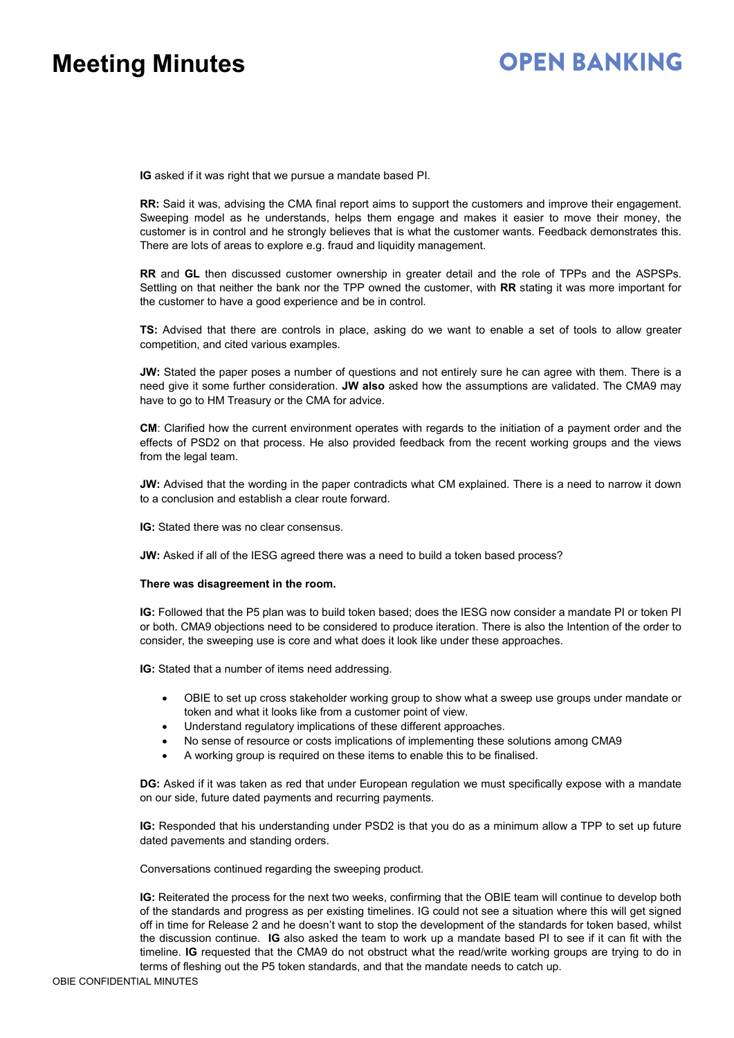# **OPEN BANKING**

**IG** asked if it was right that we pursue a mandate based PI.

**RR:** Said it was, advising the CMA final report aims to support the customers and improve their engagement. Sweeping model as he understands, helps them engage and makes it easier to move their money, the customer is in control and he strongly believes that is what the customer wants. Feedback demonstrates this. There are lots of areas to explore e.g. fraud and liquidity management.

**RR** and **GL** then discussed customer ownership in greater detail and the role of TPPs and the ASPSPs. Settling on that neither the bank nor the TPP owned the customer, with **RR** stating it was more important for the customer to have a good experience and be in control.

**TS:** Advised that there are controls in place, asking do we want to enable a set of tools to allow greater competition, and cited various examples.

**JW:** Stated the paper poses a number of questions and not entirely sure he can agree with them. There is a need give it some further consideration. **JW also** asked how the assumptions are validated. The CMA9 may have to go to HM Treasury or the CMA for advice.

**CM**: Clarified how the current environment operates with regards to the initiation of a payment order and the effects of PSD2 on that process. He also provided feedback from the recent working groups and the views from the legal team.

**JW:** Advised that the wording in the paper contradicts what CM explained. There is a need to narrow it down to a conclusion and establish a clear route forward.

**IG:** Stated there was no clear consensus.

**JW:** Asked if all of the IESG agreed there was a need to build a token based process?

### **There was disagreement in the room.**

**IG:** Followed that the P5 plan was to build token based; does the IESG now consider a mandate PI or token PI or both. CMA9 objections need to be considered to produce iteration. There is also the Intention of the order to consider, the sweeping use is core and what does it look like under these approaches.

**IG:** Stated that a number of items need addressing.

- OBIE to set up cross stakeholder working group to show what a sweep use groups under mandate or token and what it looks like from a customer point of view.
- Understand regulatory implications of these different approaches.
- No sense of resource or costs implications of implementing these solutions among CMA9
- A working group is required on these items to enable this to be finalised.

**DG:** Asked if it was taken as red that under European regulation we must specifically expose with a mandate on our side, future dated payments and recurring payments.

**IG:** Responded that his understanding under PSD2 is that you do as a minimum allow a TPP to set up future dated pavements and standing orders.

Conversations continued regarding the sweeping product.

**IG:** Reiterated the process for the next two weeks, confirming that the OBIE team will continue to develop both of the standards and progress as per existing timelines. IG could not see a situation where this will get signed off in time for Release 2 and he doesn't want to stop the development of the standards for token based, whilst the discussion continue. **IG** also asked the team to work up a mandate based PI to see if it can fit with the timeline. **IG** requested that the CMA9 do not obstruct what the read/write working groups are trying to do in terms of fleshing out the P5 token standards, and that the mandate needs to catch up.